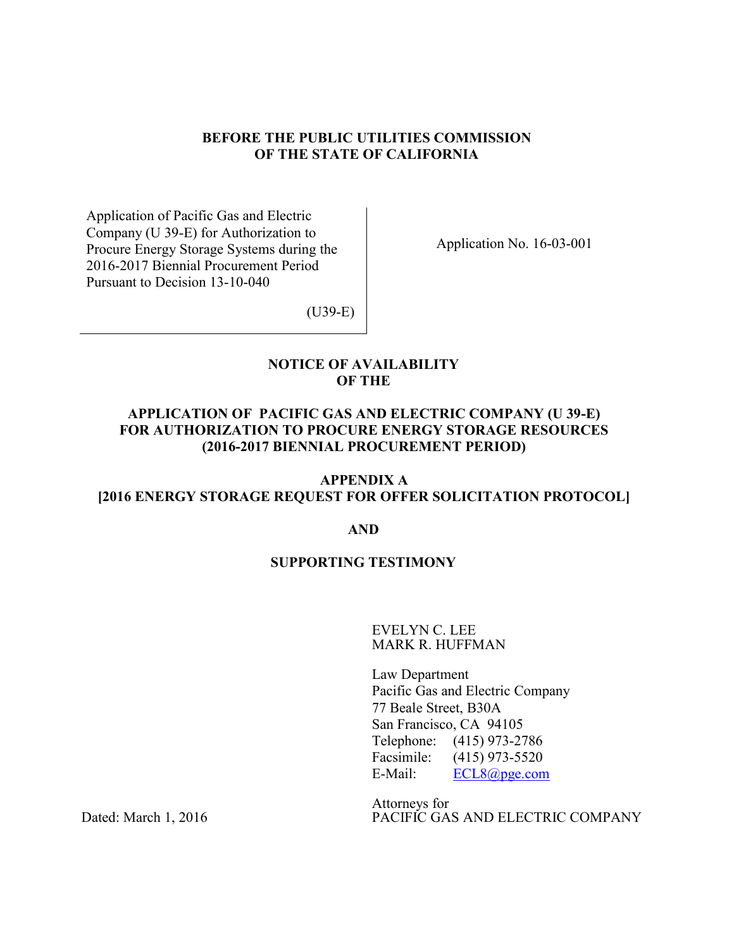### **BEFORE THE PUBLIC UTILITIES COMMISSION OF THE STATE OF CALIFORNIA**

Application of Pacific Gas and Electric Company (U 39-E) for Authorization to Procure Energy Storage Systems during the 2016-2017 Biennial Procurement Period Pursuant to Decision 13-10-040

Application No. 16-03-001

(U39-E)

### **NOTICE OF AVAILABILITY OF THE**

# **APPLICATION OF PACIFIC GAS AND ELECTRIC COMPANY (U 39-E) FOR AUTHORIZATION TO PROCURE ENERGY STORAGE RESOURCES (2016-2017 BIENNIAL PROCUREMENT PERIOD)**

# **APPENDIX A [2016 ENERGY STORAGE REQUEST FOR OFFER SOLICITATION PROTOCOL]**

#### **AND**

## **SUPPORTING TESTIMONY**

EVELYN C. LEE MARK R. HUFFMAN

Law Department Pacific Gas and Electric Company 77 Beale Street, B30A San Francisco, CA 94105 Telephone: (415) 973-2786 Facsimile: (415) 973-5520 E-Mail: ECL8@pge.com

Attorneys for PACIFIC GAS AND ELECTRIC COMPANY

Dated: March 1, 2016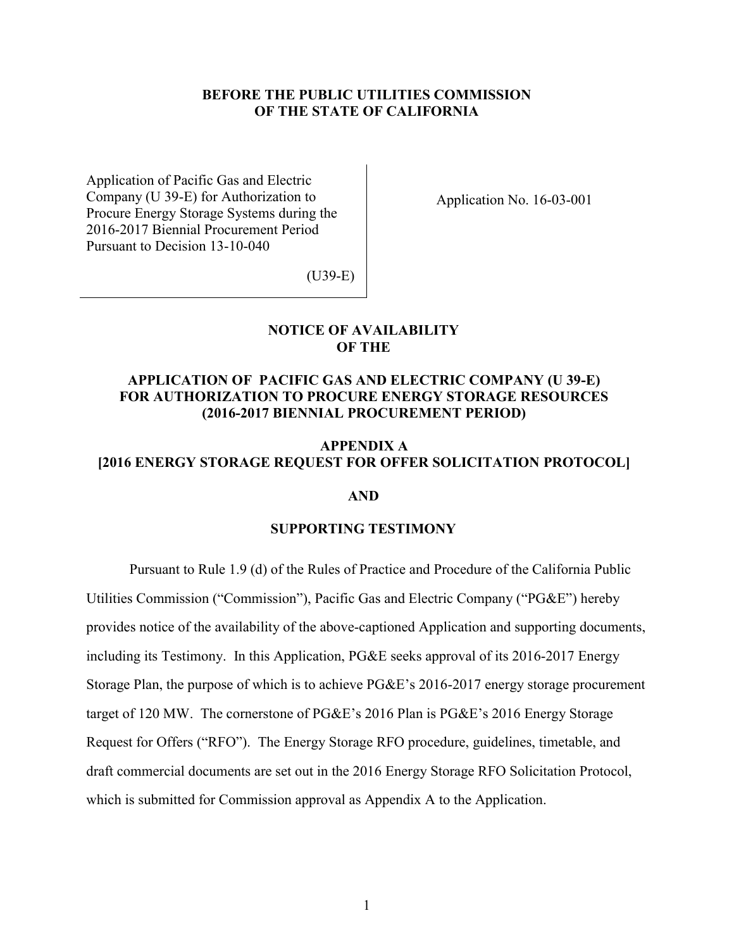#### **BEFORE THE PUBLIC UTILITIES COMMISSION OF THE STATE OF CALIFORNIA**

Application of Pacific Gas and Electric Company (U 39-E) for Authorization to Procure Energy Storage Systems during the 2016-2017 Biennial Procurement Period Pursuant to Decision 13-10-040

Application No. 16-03-001

(U39-E)

#### **NOTICE OF AVAILABILITY OF THE**

## **APPLICATION OF PACIFIC GAS AND ELECTRIC COMPANY (U 39-E) FOR AUTHORIZATION TO PROCURE ENERGY STORAGE RESOURCES (2016-2017 BIENNIAL PROCUREMENT PERIOD)**

### **APPENDIX A [2016 ENERGY STORAGE REQUEST FOR OFFER SOLICITATION PROTOCOL]**

#### **AND**

#### **SUPPORTING TESTIMONY**

Pursuant to Rule 1.9 (d) of the Rules of Practice and Procedure of the California Public Utilities Commission ("Commission"), Pacific Gas and Electric Company ("PG&E") hereby provides notice of the availability of the above-captioned Application and supporting documents, including its Testimony. In this Application, PG&E seeks approval of its 2016-2017 Energy Storage Plan, the purpose of which is to achieve PG&E's 2016-2017 energy storage procurement target of 120 MW. The cornerstone of PG&E's 2016 Plan is PG&E's 2016 Energy Storage Request for Offers ("RFO"). The Energy Storage RFO procedure, guidelines, timetable, and draft commercial documents are set out in the 2016 Energy Storage RFO Solicitation Protocol, which is submitted for Commission approval as Appendix A to the Application.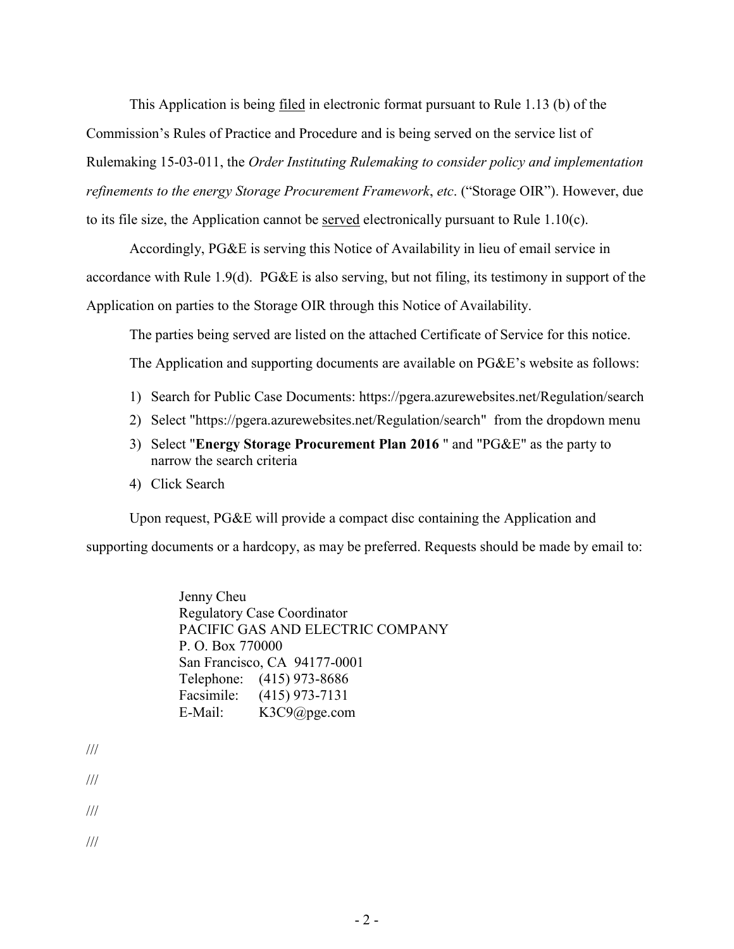This Application is being filed in electronic format pursuant to Rule 1.13 (b) of the Commission's Rules of Practice and Procedure and is being served on the service list of Rulemaking 15-03-011, the *Order Instituting Rulemaking to consider policy and implementation refinements to the energy Storage Procurement Framework*, *etc*. ("Storage OIR"). However, due to its file size, the Application cannot be served electronically pursuant to Rule 1.10(c).

Accordingly, PG&E is serving this Notice of Availability in lieu of email service in accordance with Rule 1.9(d). PG&E is also serving, but not filing, its testimony in support of the Application on parties to the Storage OIR through this Notice of Availability.

The parties being served are listed on the attached Certificate of Service for this notice.

The Application and supporting documents are available on PG&E's website as follows:

- 1) Search for Public Case Documents: https://pgera.azurewebsites.net/Regulation/search
- 2) Select "https://pgera.azurewebsites.net/Regulation/search" from the dropdown menu
- 3) Select "**Energy Storage Procurement Plan 2016** " and "PG&E" as the party to narrow the search criteria
- 4) Click Search

Upon request, PG&E will provide a compact disc containing the Application and supporting documents or a hardcopy, as may be preferred. Requests should be made by email to:

> Jenny Cheu Regulatory Case Coordinator PACIFIC GAS AND ELECTRIC COMPANY P. O. Box 770000 San Francisco, CA 94177-0001 Telephone: (415) 973-8686 Facsimile: (415) 973-7131 E-Mail: K3C9@pge.com

- ///
- ///
- ///

///